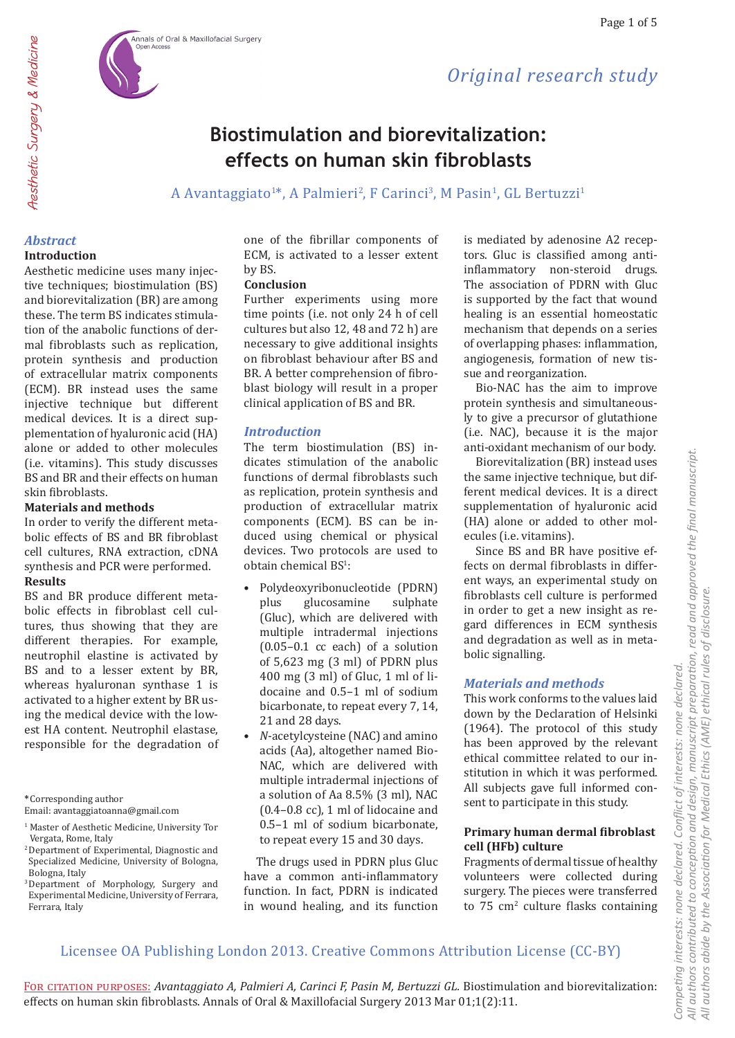# **Biostimulation and biorevitalization: effects on human skin fibroblasts**

A Avantaggiato<sup>1\*</sup>, A Palmieri<sup>2</sup>, F Carinci<sup>3</sup>, M Pasin<sup>1</sup>, GL Bertuzzi<sup>1</sup>

# *Abstract*

### **Introduction**

Aesthetic medicine uses many injective techniques; biostimulation (BS) and biorevitalization (BR) are among these. The term BS indicates stimulation of the anabolic functions of dermal fibroblasts such as replication, protein synthesis and production of extracellular matrix components (ECM). BR instead uses the same injective technique but different medical devices. It is a direct supplementation of hyaluronic acid (HA) alone or added to other molecules (i.e. vitamins). This study discusses BS and BR and their effects on human skin fibroblasts.

# **Materials and methods**

In order to verify the different metabolic effects of BS and BR fibroblast cell cultures, RNA extraction, cDNA synthesis and PCR were performed. **Results**

BS and BR produce different metabolic effects in fibroblast cell cultures, thus showing that they are different therapies. For example, neutrophil elastine is activated by BS and to a lesser extent by BR, whereas hyaluronan synthase 1 is activated to a higher extent by BR using the medical device with the lowest HA content. Neutrophil elastase, responsible for the degradation of

**\***Corresponding author Email: avantaggiatoanna@gmail.com one of the fibrillar components of ECM, is activated to a lesser extent by BS.

# **Conclusion**

Further experiments using more time points (i.e. not only 24 h of cell cultures but also 12, 48 and 72 h) are necessary to give additional insights on fibroblast behaviour after BS and BR. A better comprehension of fibroblast biology will result in a proper clinical application of BS and BR.

# *Introduction*

The term biostimulation (BS) indicates stimulation of the anabolic functions of dermal fibroblasts such as replication, protein synthesis and production of extracellular matrix components (ECM). BS can be induced using chemical or physical devices. Two protocols are used to  $obtain$  chemical  $BS<sup>T</sup>$ :

- Polydeoxyribonucleotide (PDRN) glucosamine (Gluc), which are delivered with multiple intradermal injections (0.05–0.1 cc each) of a solution of 5,623 mg (3 ml) of PDRN plus 400 mg (3 ml) of Gluc, 1 ml of lidocaine and 0.5–1 ml of sodium bicarbonate, to repeat every 7, 14, 21 and 28 days.
- *N*-acetylcysteine (NAC) and amino acids (Aa), altogether named Bio-NAC, which are delivered with multiple intradermal injections of a solution of Aa 8.5% (3 ml), NAC (0.4–0.8 cc), 1 ml of lidocaine and 0.5–1 ml of sodium bicarbonate, to repeat every 15 and 30 days.

The drugs used in PDRN plus Gluc have a common anti-inflammatory function. In fact, PDRN is indicated in wound healing, and its function is mediated by adenosine A2 receptors. Gluc is classified among antiinflammatory non-steroid drugs. The association of PDRN with Gluc is supported by the fact that wound healing is an essential homeostatic mechanism that depends on a series of overlapping phases: inflammation, angiogenesis, formation of new tissue and reorganization.

*Original research study*

Bio-NAC has the aim to improve protein synthesis and simultaneously to give a precursor of glutathione (i.e. NAC), because it is the major anti-oxidant mechanism of our body.

Biorevitalization (BR) instead uses the same injective technique, but different medical devices. It is a direct supplementation of hyaluronic acid (HA) alone or added to other molecules (i.e. vitamins).

Since BS and BR have positive effects on dermal fibroblasts in different ways, an experimental study on fibroblasts cell culture is performed in order to get a new insight as regard differences in ECM synthesis and degradation as well as in metabolic signalling.

# *Materials and methods*

This work conforms to the values laid down by the Declaration of Helsinki (1964). The protocol of this study has been approved by the relevant ethical committee related to our institution in which it was performed. All subjects gave full informed consent to participate in this study.

# **Primary human dermal fibroblast cell (HFb) culture**

Fragments of dermal tissue of healthy volunteers were collected during surgery. The pieces were transferred to 75 cm<sup>2</sup> culture flasks containing

# Licensee OA Publishing London 2013. Creative Commons Attribution License (CC-BY)

For citation purposes: *Avantaggiato A, Palmieri A, Carinci F, Pasin M, Bertuzzi GL.* Biostimulation and biorevitalization: effects on human skin fibroblasts. Annals of Oral & Maxillofacial Surgery 2013 Mar 01;1(2):11.

<sup>&</sup>lt;sup>1</sup> Master of Aesthetic Medicine, University Tor

Vergata, Rome, Italy <sup>2</sup>Department of Experimental, Diagnostic and Specialized Medicine, University of Bologna, Bologna, Italy

<sup>3</sup>Department of Morphology, Surgery and Experimental Medicine, University of Ferrara, Ferrara, Italy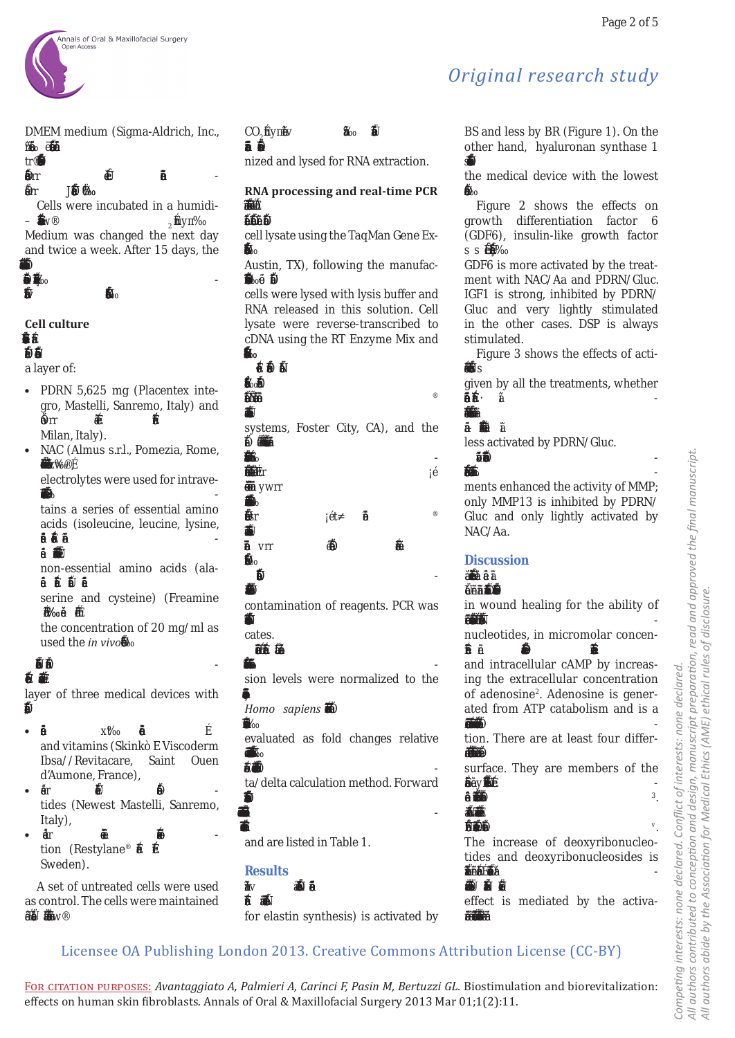

DMEM medium (Sigma-Aldrich, Inc., –‱<del>∛ \*</del>‡1⊿



Cells were incubated in a humidi-  $\mathbf{F}^*$   $\mathbf{F}$ <sup>2</sup>  $2^f$ uyå Medium was changed the next day and twice a week. After 15 days, the  $\frac{m}{2}$ 

 $\frac{1}{2}$   $\frac{1}{2}$  $\frac{1}{2}$  if the  $\frac{1}{2}$ 

# **Cell culture**

## $\Box$ **•‡…'•†'ƒ•‰‡á–Ї›™‡"•‡†'•**

a layer of:

- PDRN 5,625 mg (Placentex integro, Mastelli, Sanremo, Italy) and : Že⊩r ‰  $--$ ' $\check{\mathbf{B}}$ Milan, Italy).
- NAC (Almus s.r.l., Pomezia, Rome, — *那*"zäv

electrolytes were used for intrave-  $-48+$ 

tains a series of essential amino acids (isoleucine, leucine, lysine, •‡–Š‹'•‡á'Ї•›Žƒ•‹‡á–Š"‡' -

主义/董  ƒ•†

non-essential amino acids (ala- •‹‡á ƒ"‰‹•‡á Š‹•–‹†•‡á '"'Ž‹•‡á

serine and cysteine) (Freamine  $j^* \# j^*$ 

the concentration of 20 mg/ml as used the *in vivo*<sub> $n$ </sub>

### **и** – *т* '•†'ƒ•‰‡á–Ї›™‡"•‡†'•ƒ

layer of three medical devices with  $#+#a$ 

- Ǥʹ Ȁ and vitamins (Skinkò E Viscoderm Ibsa//Revitacare, Saint Ouen d'Aumone, France),
- ͳͲ Ȁ tides (Newest Mastelli, Sanremo, Italy),

• ʹͲ Ȁ tion (Restylane® ← $\tilde{\mathbf{Z}}$ ' $\tilde{\mathbf{Z}}$ Sweden).

A set of untreated cells were used as control. The cells were maintained ‹• ƒ Š—•‹†Ð‡† ƒ–•'•'Ї" 'ˆ w¨

# CO $_{2}$ £uytv Si ‡  $-\mathbf{\hat{w}}$   $\mathbf{\hat{w}}$

nized and lysed for RNA extraction.

# **RNA processing and real-time PCR ‡˜"•‡ –"ƒ••…"‹'–'• –' … ™ƒ•**

# **'‡"ˆ'•‡† †‹"‡…–Ž› ˆ"'• …—Ž–"‡†**

cell lysate using the TaqMan Gene Ex- '**Äæ**eh •"‹'•…äá

Austin, TX), following the manufac- –<del>& " *Š*I</del>

cells were lysed with lysis buffer and RNA released in this solution. Cell lysate were reverse-transcribed to cDNA using the RT Enzyme Mix and

'f"<del>f</del> •"‹'•…ä- $\check{a}$  $\Psi$  $'$   $\uparrow$   $\downarrow$   $\downarrow$   $\downarrow$   $\uparrow$   $\downarrow$   $\downarrow$   $\downarrow$   $\downarrow$   $\downarrow$   $\downarrow$   $\downarrow$   $\downarrow$   $\downarrow$   $\downarrow$   $\downarrow$   $\downarrow$   $\downarrow$   $\downarrow$   $\downarrow$   $\downarrow$   $\downarrow$   $\downarrow$   $\downarrow$   $\downarrow$   $\downarrow$   $\downarrow$   $\downarrow$   $\downarrow$   $\downarrow$   $\downarrow$   $\downarrow$   $\downarrow$   $\downarrow$   $\downarrow$   $\downarrow$  "‡•ƒ•–‡"‹š-''Ž‹‡†‹' systems, Foster City, CA), and the •'‡…‹Ð ƒ•› ™ƒ• †‡•‹‰•‡† ˆ'" –Ї <sup>‡</sup>د پر پر پر پر پر پر چین کے استعمال کرنے کے اس کا ایک بیٹ کے اس کا ایک بیٹ کے اس کا ایک بیٹ کا ایک بیٹ کا ایک ب<br>تاریخ کے بیٹ کا ایک بیٹ کا ایک بیٹ کا ایک بیٹ کا ایک بیٹ کا ایک بیٹ کا ایک بیٹ کا ایک بیٹ کا ایک بیٹ کا ا £∰ fr **ِ ∰∕**∕≸ ywrr "**\*\$** …'•–ƒ‹•‡† sr ÁŽ t- '™‡" ® "‡•ƒ•–‡"‹š-''Ž‹‡†‹'- •›–‡••-á vrr • …'•‡–" ƒ–‹'• 'ˆ  $^*$  $\frac{1}{2}$ 

# **ež**ie–

contamination of reagents. PCR was '¥Š®o

cates. 𒔇•‹'• ™ƒ• "—ƒ•–‹Ð‡† —•‹•‰

 $\ddot{\bm{z}}$ æä  $\circ$ 

sion levels were normalized to the ‡š'"‡•‹'•ˆ–Ї'—•‡•'‹•‰‡•

*Homo sapiens* III

*'"'–‡‹•s-䊇š'"‡•‹'•™ƒ•* evaluated as fold changes relative

### –'–**遵–**≇ä  $H$ 55

ta/delta calculation method. Forward 112.5

# $\blacksquare$

 $^{\prime\prime}$ ‡† á and are listed in Table 1.



*‡Žƒ•–‹•‡* **айбо** for elastin synthesis) is activated by

# *Original research study*

BS and less by BR (Figure 1). On the other hand, hyaluronan synthase 1 s#

the medical device with the lowest …'•–‡•–ä

Figure 2 shows the effects on growth differentiation factor 6 (GDF6), insulin-like growth factor s s 穆  $\overline{a}$ ä

GDF6 is more activated by the treatment with NAC/Aa and PDRN/Gluc. IGF1 is strong, inhibited by PDRN/ Gluc and very lightly stimulated in the other cases. DSP is always stimulated.

Figure 3 shows the effects of acti- ˜ƒ–‹'• '• Š›ƒŽ—"'•‹†ƒ•‡ s -s- $\overline{a}$ 

given by all the treatments, whether <u>‡-</u>ጀ්*፪* á‡ - $\mathfrak{a}$   $\mathfrak{t}$  -

# ·<sup>\*</sup>\*\*

 $-\mathbf{\tilde{M}}$   $\delta$ less activated by PDRN/Gluc.

 ‹‰—"‡v"‡''"–•–Їˆ‡…–'••‡– -

 $\mathcal{F}\mathcal{L}\mathcal{S}\mathcal{F}$ ments enhanced the activity of MMP; only MMP13 is inhibited by PDRN/ Gluc and only lightly activated by NAC/Aa.

# *Discussion*



in wound healing for the ability of  $'$  +  $\frac{1}{2}$   $\frac{1}{2}$ 

nucleotides, in micromolar concen-  $-\frac{\varphi}{\sqrt{2}}$   $-\frac{\varphi}{\sqrt{2}}$   $\frac{\varphi}{\sqrt{2}}$ 

and intracellular cAMP by increasing the extracellular concentration of adenosine<sup>2</sup>. Adenosine is generated from ATP catabolism and is a  $'$  $^{\mathbf{w}}$   $^{\mathbf{w}}$ 

tion. There are at least four differ- **‡#…'←堂…** 

|              |  | surface. They are members of the |  |
|--------------|--|----------------------------------|--|
| $\chi$ yaf'f |  |                                  |  |
| %"罐"         |  |                                  |  |

# $\frac{1}{2}$

# **手斗宽洗**

The increase of deoxyribonucleotides and deoxyribonucleosides is "‡''"–‡† –' Šƒ˜‡ ƒ •‹–'‰‡•‹… ‡ˆ -  $\ddagger$ e $\ddot{\mathbf{z}}$ 

effect is mediated by the activa-  $-\epsilon$ " $\frac{\omega}{2}$   $-\frac{\epsilon}{2}$ 

# Licensee OA Publishing London 2013. Creative Commons Attribution License (CC-BY)

For citation purposes: *Avantaggiato A, Palmieri A, Carinci F, Pasin M, Bertuzzi GL.* Biostimulation and biorevitalization: effects on human skin fibroblasts. Annals of Oral & Maxillofacial Surgery 2013 Mar 01;1(2):11.

.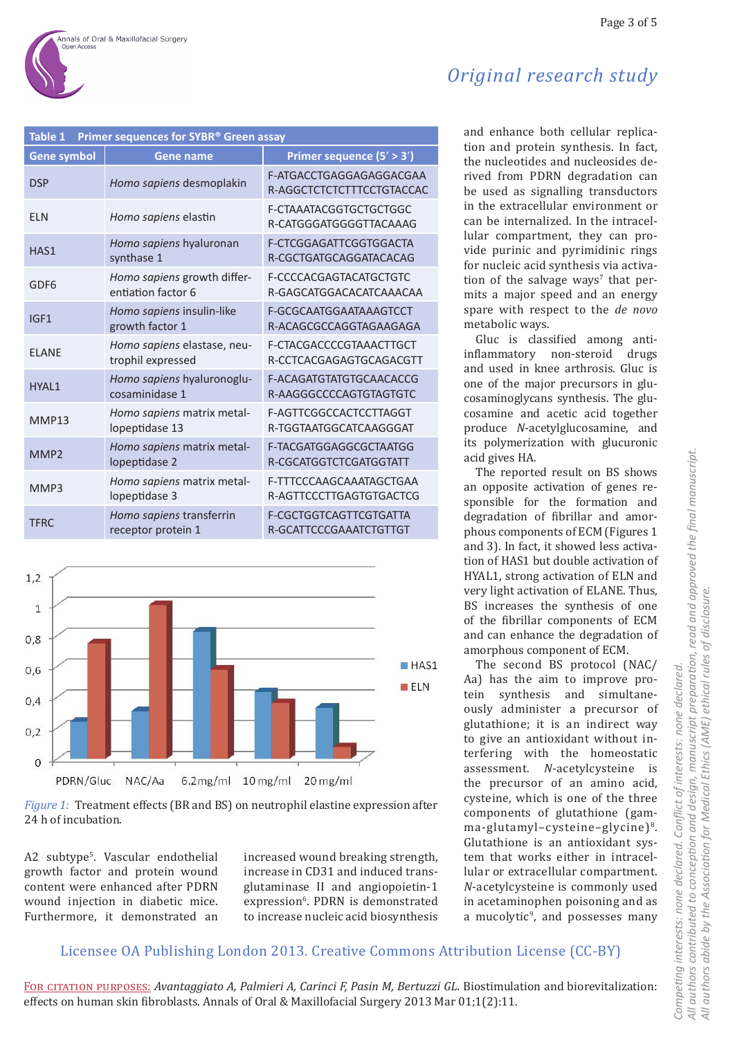| Original research study |  |
|-------------------------|--|
|                         |  |

| <b>Table 1</b><br>Primer sequences for SYBR® Green assay |                                                   |                                                      |  |  |  |
|----------------------------------------------------------|---------------------------------------------------|------------------------------------------------------|--|--|--|
| Gene symbol                                              | <b>Gene name</b>                                  | Primer sequence (5' > 3')                            |  |  |  |
| <b>DSP</b>                                               | Homo sapiens desmoplakin                          | F-ATGACCTGAGGAGAGGACGAA<br>R-AGGCTCTCTCTTTCCTGTACCAC |  |  |  |
| <b>FLN</b>                                               | Homo sapiens elastin                              | F-CTAAATACGGTGCTGCTGGC<br>R-CATGGGATGGGGTTACAAAG     |  |  |  |
| HAS1                                                     | Homo sapiens hyaluronan<br>synthase 1             | F-CTCGGAGATTCGGTGGACTA<br>R-CGCTGATGCAGGATACACAG     |  |  |  |
| GDF <sub>6</sub>                                         | Homo sapiens growth differ-<br>entiation factor 6 | F-CCCCACGAGTACATGCTGTC<br>R-GAGCATGGACACATCAAACAA    |  |  |  |
| IGF1                                                     | Homo sapiens insulin-like<br>growth factor 1      | F-GCGCAATGGAATAAAGTCCT<br>R-ACAGCGCCAGGTAGAAGAGA     |  |  |  |
| <b>FLANF</b>                                             | Homo sapiens elastase, neu-<br>trophil expressed  | F-CTACGACCCCGTAAACTTGCT<br>R-CCTCACGAGAGTGCAGACGTT   |  |  |  |
| HYAL1                                                    | Homo sapiens hyaluronoglu-<br>cosaminidase 1      | F-ACAGATGTATGTGCAACACCG<br>R-AAGGGCCCCAGTGTAGTGTC    |  |  |  |
| MMP13                                                    | Homo sapiens matrix metal-<br>lopeptidase 13      | F-AGTTCGGCCACTCCTTAGGT<br>R-TGGTAATGGCATCAAGGGAT     |  |  |  |
| MMP <sub>2</sub>                                         | Homo sapiens matrix metal-<br>lopeptidase 2       | F-TACGATGGAGGCGCTAATGG<br>R-CGCATGGTCTCGATGGTATT     |  |  |  |
| MMP3                                                     | Homo sapiens matrix metal-<br>lopeptidase 3       | F-TTTCCCAAGCAAATAGCTGAA<br>R-AGTTCCCTTGAGTGTGACTCG   |  |  |  |
| <b>TFRC</b>                                              | Homo sapiens transferrin<br>receptor protein 1    | F-CGCTGGTCAGTTCGTGATTA<br>R-GCATTCCCGAAATCTGTTGT     |  |  |  |



*Figure 1:* Treatment effects (BR and BS) on neutrophil elastine expression after 24 h of incubation.

A2 subtype<sup>5</sup>. Vascular endothelial growth factor and protein wound content were enhanced after PDRN wound injection in diabetic mice. Furthermore, it demonstrated an

increased wound breaking strength, increase in CD31 and induced transglutaminase II and angiopoietin-1 expression<sup>6</sup>. PDRN is demonstrated to increase nucleic acid biosynthesis

and enhance both cellular replication and protein synthesis. In fact, the nucleotides and nucleosides derived from PDRN degradation can be used as signalling transductors in the extracellular environment or can be internalized. In the intracellular compartment, they can provide purinic and pyrimidinic rings for nucleic acid synthesis via activation of the salvage ways' that  $per$ mits a major speed and an energy spare with respect to the *de novo* metabolic ways.

Gluc is classified among antiinflammatory non-steroid drugs and used in knee arthrosis. Gluc is one of the major precursors in glucosaminoglycans synthesis. The glucosamine and acetic acid together produce *N*-acetylglucosamine, and its polymerization with glucuronic acid gives HA.

The reported result on BS shows an opposite activation of genes responsible for the formation and degradation of fibrillar and amorphous components of ECM (Figures 1 and 3). In fact, it showed less activation of HAS1 but double activation of HYAL1, strong activation of ELN and very light activation of ELANE. Thus, BS increases the synthesis of one of the fibrillar components of ECM and can enhance the degradation of amorphous component of ECM.

The second BS protocol (NAC/ Aa) has the aim to improve protein synthesis and simultaneously administer a precursor of glutathione; it is an indirect way to give an antioxidant without interfering with the homeostatic assessment. *N*-acetylcysteine is the precursor of an amino acid, cysteine, which is one of the three components of glutathione (gamma-glutamyl-cysteine-glycine)<sup>8</sup>. Glutathione is an antioxidant system that works either in intracellular or extracellular compartment. *N*-acetylcysteine is commonly used in acetaminophen poisoning and as a mucolytic<sup>9</sup>, and possesses many

# Licensee OA Publishing London 2013. Creative Commons Attribution License (CC-BY)

For citation purposes: *Avantaggiato A, Palmieri A, Carinci F, Pasin M, Bertuzzi GL.* Biostimulation and biorevitalization: effects on human skin fibroblasts. Annals of Oral & Maxillofacial Surgery 2013 Mar 01;1(2):11.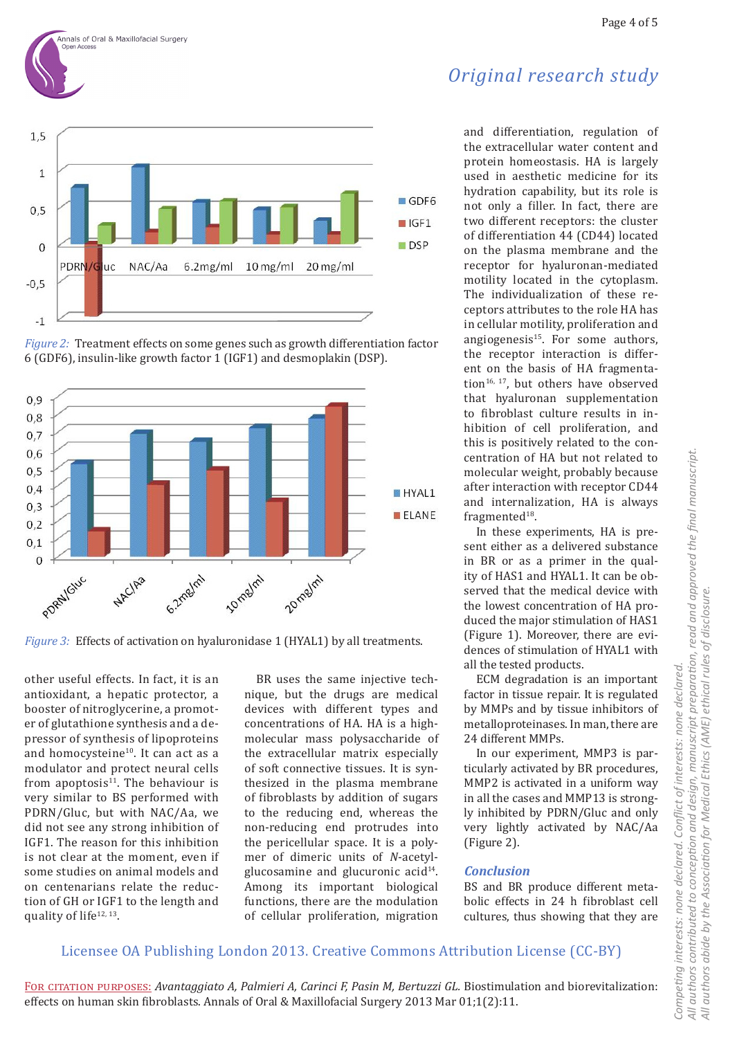







*Figure* 3: Effects of activation on hyaluronidase 1 (HYAL1) by all treatments.

other useful effects. In fact, it is an antioxidant, a hepatic protector, a booster of nitroglycerine, a promoter of glutathione synthesis and a depressor of synthesis of lipoproteins and homocysteine<sup>10</sup>. It can act as a modulator and protect neural cells from apoptosis $11$ . The behaviour is very similar to BS performed with PDRN/Gluc, but with NAC/Aa, we did not see any strong inhibition of IGF1. The reason for this inhibition is not clear at the moment, even if some studies on animal models and on centenarians relate the reduction of GH or IGF1 to the length and quality of life<sup>12, 13</sup>.

BR uses the same injective technique, but the drugs are medical devices with different types and concentrations of HA. HA is a highmolecular mass polysaccharide of the extracellular matrix especially of soft connective tissues. It is synthesized in the plasma membrane of fibroblasts by addition of sugars to the reducing end, whereas the non-reducing end protrudes into the pericellular space. It is a polymer of dimeric units of *N*-acetylglucosamine and glucuronic acid<sup>14</sup>. Among its important biological functions, there are the modulation of cellular proliferation, migration

and differentiation, regulation of the extracellular water content and protein homeostasis. HA is largely used in aesthetic medicine for its hydration capability, but its role is not only a filler. In fact, there are two different receptors: the cluster of differentiation 44 (CD44) located on the plasma membrane and the receptor for hyaluronan-mediated motility located in the cytoplasm. The individualization of these receptors attributes to the role HA has in cellular motility, proliferation and angiogenesis $15$ . For some authors, the receptor interaction is different on the basis of HA fragmentation<sup>16, 17</sup>, but others have observed that hyaluronan supplementation to fibroblast culture results in inhibition of cell proliferation, and this is positively related to the concentration of HA but not related to molecular weight, probably because after interaction with receptor CD44 and internalization, HA is always fragmented<sup>18</sup>.

In these experiments, HA is present either as a delivered substance in BR or as a primer in the quality of HAS1 and HYAL1. It can be observed that the medical device with the lowest concentration of HA produced the major stimulation of HAS1 (Figure 1). Moreover, there are evidences of stimulation of HYAL1 with all the tested products.

ECM degradation is an important factor in tissue repair. It is regulated by MMPs and by tissue inhibitors of metalloproteinases. In man, there are 24 different MMPs.

In our experiment, MMP3 is particularly activated by BR procedures, MMP2 is activated in a uniform way in all the cases and MMP13 is strongly inhibited by PDRN/Gluc and only very lightly activated by NAC/Aa (Figure 2).

*Competing interests: none declared. Conflict of interests: none declared.* 

Competing interests: none declared.

*All authors contributed to conception and design, manuscript preparation, read and approved the final manuscript.*

All authors contributed to conception and design, manuscript preparation, read and approved the final manuscript.

Conflict of interests: none declared.

*All authors abide by the Association for Medical Ethics (AME) ethical rules of disclosure.*

All authors abide by the Association for Medical Ethics (AME) ethical rules of disclosure.

# *Conclusion*

BS and BR produce different metabolic effects in 24 h fibroblast cell cultures, thus showing that they are

# Licensee OA Publishing London 2013. Creative Commons Attribution License (CC-BY)

For citation purposes: *Avantaggiato A, Palmieri A, Carinci F, Pasin M, Bertuzzi GL.* Biostimulation and biorevitalization: effects on human skin fibroblasts. Annals of Oral & Maxillofacial Surgery 2013 Mar 01;1(2):11.

Page 4 of 5

# *Original research study*